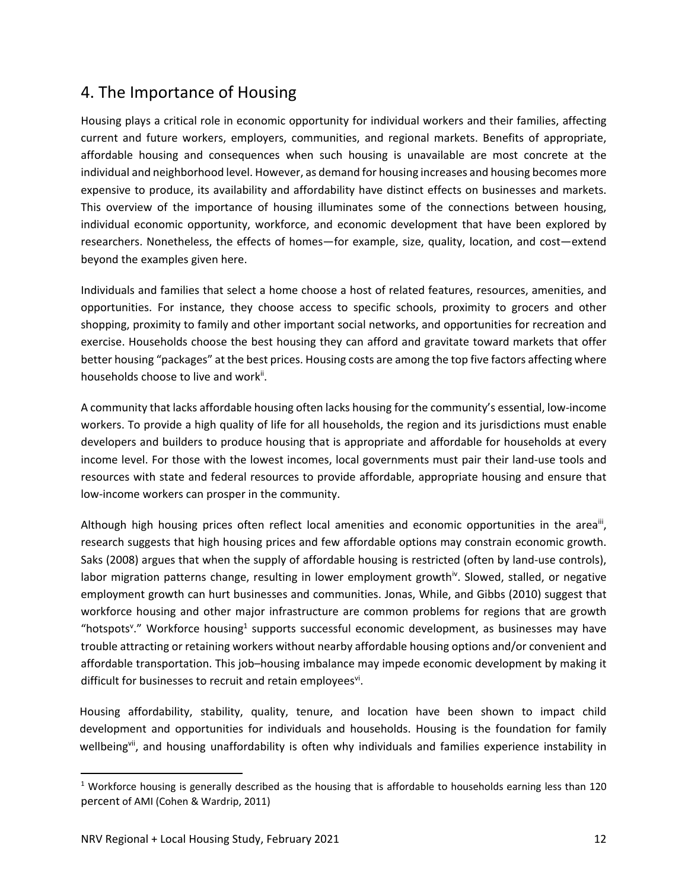## 4. The Importance of Housing

Housing plays a critical role in economic opportunity for individual workers and their families, affecting current and future workers, employers, communities, and regional markets. Benefits of appropriate, affordable housing and consequences when such housing is unavailable are most concrete at the individual and neighborhood level. However, as demand for housing increases and housing becomes more expensive to produce, its availability and affordability have distinct effects on businesses and markets. This overview of the importance of housing illuminates some of the connections between housing, individual economic opportunity, workforce, and economic development that have been explored by researchers. Nonetheless, the effects of homes—for example, size, quality, location, and cost—extend beyond the examples given here.

Individuals and families that select a home choose a host of related features, resources, amenities, and opportunities. For instance, they choose access to specific schools, proximity to grocers and other shopping, proximity to family and other important social networks, and opportunities for recreation and exercise. Households choose the best housing they can afford and gravitate toward markets that offer better housing "packages" at the best prices. Housing costs are among the top five factors affecting where households choose to live and work<sup>ii</sup>.

A community that lacks affordable housing often lacks housing for the community's essential, low‐income workers. To provide a high quality of life for all households, the region and its jurisdictions must enable developers and builders to produce housing that is appropriate and affordable for households at every income level. For those with the lowest incomes, local governments must pair their land‐use tools and resources with state and federal resources to provide affordable, appropriate housing and ensure that low‐income workers can prosper in the community.

Although high housing prices often reflect local amenities and economic opportunities in the area<sup>ii</sup>, research suggests that high housing prices and few affordable options may constrain economic growth. Saks (2008) argues that when the supply of affordable housing is restricted (often by land‐use controls), labor migration patterns change, resulting in lower employment growth<sup>iv</sup>. Slowed, stalled, or negative employment growth can hurt businesses and communities. Jonas, While, and Gibbs (2010) suggest that workforce housing and other major infrastructure are common problems for regions that are growth "hotspots<sup>v</sup>." Workforce housing<sup>1</sup> supports successful economic development, as businesses may have trouble attracting or retaining workers without nearby affordable housing options and/or convenient and affordable transportation. This job–housing imbalance may impede economic development by making it difficult for businesses to recruit and retain employees<sup>vi</sup>.

Housing affordability, stability, quality, tenure, and location have been shown to impact child development and opportunities for individuals and households. Housing is the foundation for family wellbeing<sup>vii</sup>, and housing unaffordability is often why individuals and families experience instability in

<sup>&</sup>lt;sup>1</sup> Workforce housing is generally described as the housing that is affordable to households earning less than 120 percent of AMI (Cohen & Wardrip, 2011)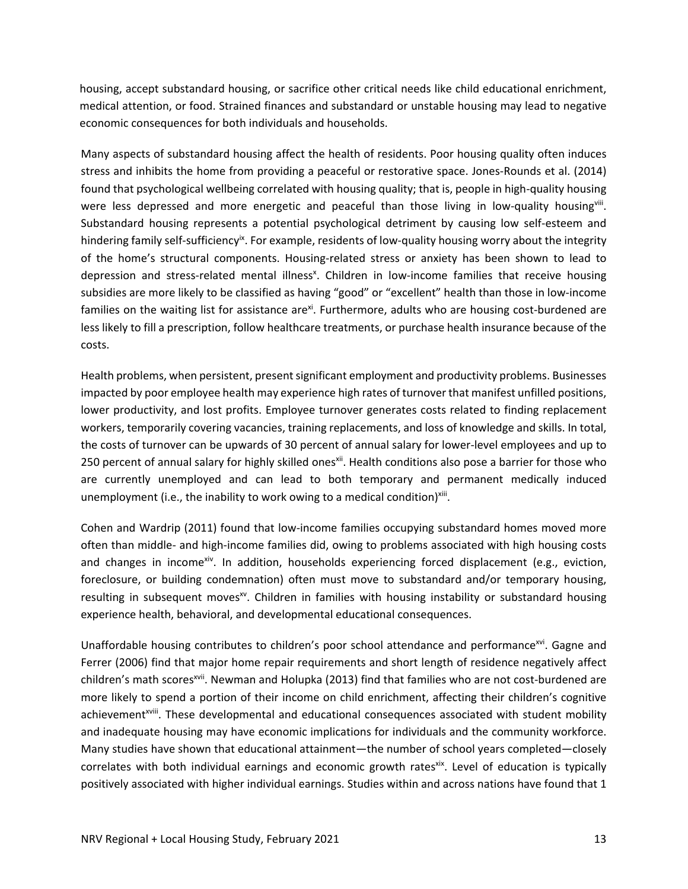housing, accept substandard housing, or sacrifice other critical needs like child educational enrichment, medical attention, or food. Strained finances and substandard or unstable housing may lead to negative economic consequences for both individuals and households.

Many aspects of substandard housing affect the health of residents. Poor housing quality often induces stress and inhibits the home from providing a peaceful or restorative space. Jones‐Rounds et al. (2014) found that psychological wellbeing correlated with housing quality; that is, people in high-quality housing were less depressed and more energetic and peaceful than those living in low-quality housing<sup>viii</sup>. Substandard housing represents a potential psychological detriment by causing low self‐esteem and hindering family self-sufficiency<sup>ix</sup>. For example, residents of low-quality housing worry about the integrity of the home's structural components. Housing‐related stress or anxiety has been shown to lead to depression and stress-related mental illness<sup>x</sup>. Children in low-income families that receive housing subsidies are more likely to be classified as having "good" or "excellent" health than those in low‐income families on the waiting list for assistance are<sup>xi</sup>. Furthermore, adults who are housing cost-burdened are less likely to fill a prescription, follow healthcare treatments, or purchase health insurance because of the costs.

Health problems, when persistent, present significant employment and productivity problems. Businesses impacted by poor employee health may experience high rates of turnover that manifest unfilled positions, lower productivity, and lost profits. Employee turnover generates costs related to finding replacement workers, temporarily covering vacancies, training replacements, and loss of knowledge and skills. In total, the costs of turnover can be upwards of 30 percent of annual salary for lower‐level employees and up to 250 percent of annual salary for highly skilled onesxii. Health conditions also pose a barrier for those who are currently unemployed and can lead to both temporary and permanent medically induced unemployment (i.e., the inability to work owing to a medical condition) $x$ iii.

Cohen and Wardrip (2011) found that low‐income families occupying substandard homes moved more often than middle‐ and high‐income families did, owing to problems associated with high housing costs and changes in income<sup>xiv</sup>. In addition, households experiencing forced displacement (e.g., eviction, foreclosure, or building condemnation) often must move to substandard and/or temporary housing, resulting in subsequent moves<sup>xv</sup>. Children in families with housing instability or substandard housing experience health, behavioral, and developmental educational consequences.

Unaffordable housing contributes to children's poor school attendance and performance<sup>xvi</sup>. Gagne and Ferrer (2006) find that major home repair requirements and short length of residence negatively affect children's math scores<sup>xvii</sup>. Newman and Holupka (2013) find that families who are not cost-burdened are more likely to spend a portion of their income on child enrichment, affecting their children's cognitive achievement<sup>xviii</sup>. These developmental and educational consequences associated with student mobility and inadequate housing may have economic implications for individuals and the community workforce. Many studies have shown that educational attainment—the number of school years completed—closely correlates with both individual earnings and economic growth ratesxix. Level of education is typically positively associated with higher individual earnings. Studies within and across nations have found that 1